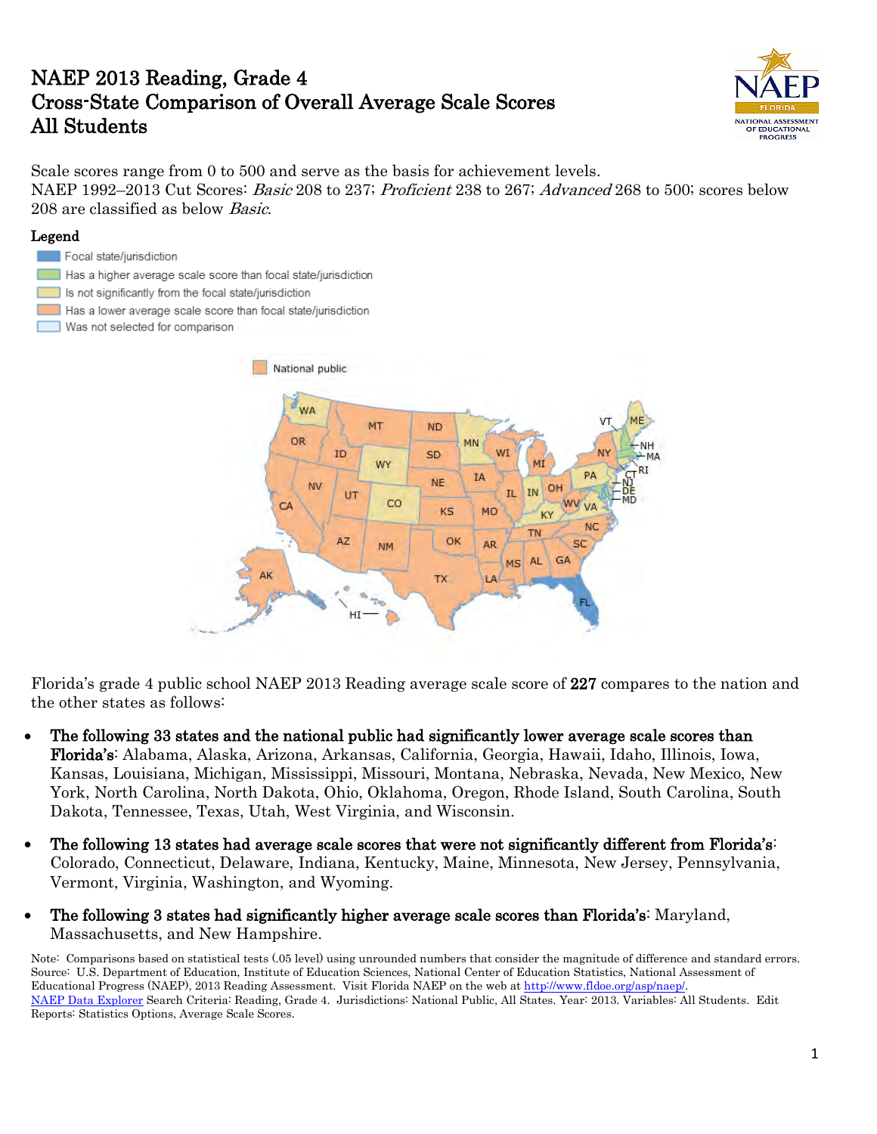# NAEP 2013 Reading, Grade 4 Cross-State Comparison of Overall Average Scale Scores All Students



Scale scores range from 0 to 500 and serve as the basis for achievement levels. NAEP 1992–2013 Cut Scores: *Basic* 208 to 237; *Proficient* 238 to 267; *Advanced* 268 to 500; scores below 208 are classified as below Basic.

#### Legend

#### Focal state/jurisdiction

- Has a higher average scale score than focal state/jurisdiction
- Is not significantly from the focal state/jurisdiction
- Has a lower average scale score than focal state/jurisdiction
- Was not selected for comparison



Florida's grade 4 public school NAEP 2013 Reading average scale score of 227 compares to the nation and the other states as follows:

- The following 33 states and the national public had significantly lower average scale scores than Florida's: Alabama, Alaska, Arizona, Arkansas, California, Georgia, Hawaii, Idaho, Illinois, Iowa, Kansas, Louisiana, Michigan, Mississippi, Missouri, Montana, Nebraska, Nevada, New Mexico, New York, North Carolina, North Dakota, Ohio, Oklahoma, Oregon, Rhode Island, South Carolina, South Dakota, Tennessee, Texas, Utah, West Virginia, and Wisconsin.
- The following 13 states had average scale scores that were not significantly different from Florida's: Colorado, Connecticut, Delaware, Indiana, Kentucky, Maine, Minnesota, New Jersey, Pennsylvania, Vermont, Virginia, Washington, and Wyoming.
- The following 3 states had significantly higher average scale scores than Florida's: Maryland, Massachusetts, and New Hampshire.

Note: Comparisons based on statistical tests (.05 level) using unrounded numbers that consider the magnitude of difference and standard errors. Source: U.S. Department of Education, Institute of Education Sciences, National Center of Education Statistics, National Assessment of Educational Progress (NAEP), 2013 Reading Assessment. Visit Florida NAEP on the web at [http://www.fldoe.org/asp/naep/.](http://www.fldoe.org/asp/naep/)  [NAEP Data Explorer](http://nces.ed.gov/nationsreportcard/naepdata/) Search Criteria: Reading, Grade 4. Jurisdictions: National Public, All States. Year: 2013. Variables: All Students. Edit Reports: Statistics Options, Average Scale Scores.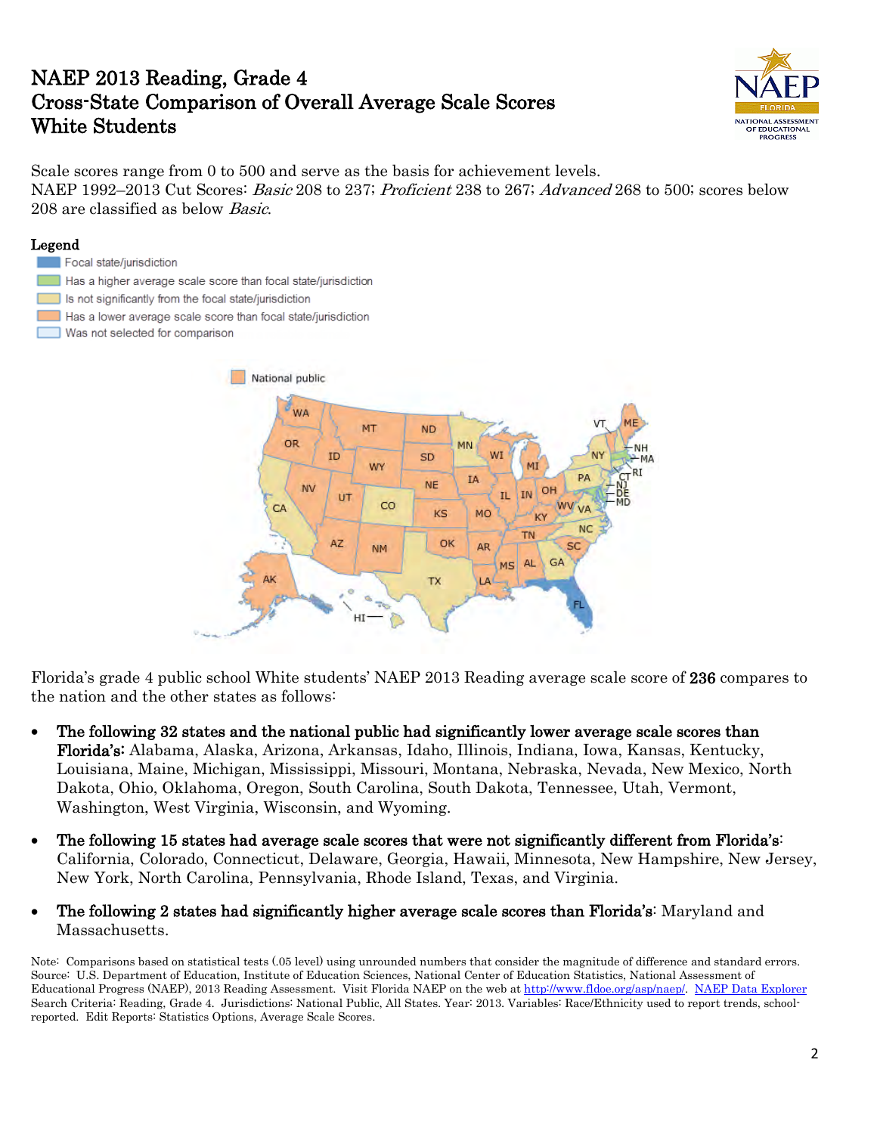## NAEP 2013 Reading, Grade 4 Cross-State Comparison of Overall Average Scale Scores White Students



Scale scores range from 0 to 500 and serve as the basis for achievement levels. NAEP 1992–2013 Cut Scores: *Basic* 208 to 237; *Proficient* 238 to 267; *Advanced* 268 to 500; scores below 208 are classified as below Basic.

#### Legend

Focal state/jurisdiction Has a higher average scale score than focal state/jurisdiction Is not significantly from the focal state/jurisdiction Has a lower average scale score than focal state/jurisdiction Was not selected for comparison



Florida's grade 4 public school White students' NAEP 2013 Reading average scale score of 236 compares to the nation and the other states as follows:

- The following 32 states and the national public had significantly lower average scale scores than Florida's: Alabama, Alaska, Arizona, Arkansas, Idaho, Illinois, Indiana, Iowa, Kansas, Kentucky, Louisiana, Maine, Michigan, Mississippi, Missouri, Montana, Nebraska, Nevada, New Mexico, North Dakota, Ohio, Oklahoma, Oregon, South Carolina, South Dakota, Tennessee, Utah, Vermont, Washington, West Virginia, Wisconsin, and Wyoming.
- The following 15 states had average scale scores that were not significantly different from Florida's: California, Colorado, Connecticut, Delaware, Georgia, Hawaii, Minnesota, New Hampshire, New Jersey, New York, North Carolina, Pennsylvania, Rhode Island, Texas, and Virginia.
- The following 2 states had significantly higher average scale scores than Florida's: Maryland and Massachusetts.

Note: Comparisons based on statistical tests (.05 level) using unrounded numbers that consider the magnitude of difference and standard errors. Source: U.S. Department of Education, Institute of Education Sciences, National Center of Education Statistics, National Assessment of Educational Progress (NAEP), 2013 Reading Assessment. Visit Florida NAEP on the web at [http://www.fldoe.org/asp/naep/.](http://www.fldoe.org/asp/naep/) [NAEP Data Explorer](http://nces.ed.gov/nationsreportcard/naepdata/) Search Criteria: Reading, Grade 4. Jurisdictions: National Public, All States. Year: 2013. Variables: Race/Ethnicity used to report trends, schoolreported. Edit Reports: Statistics Options, Average Scale Scores.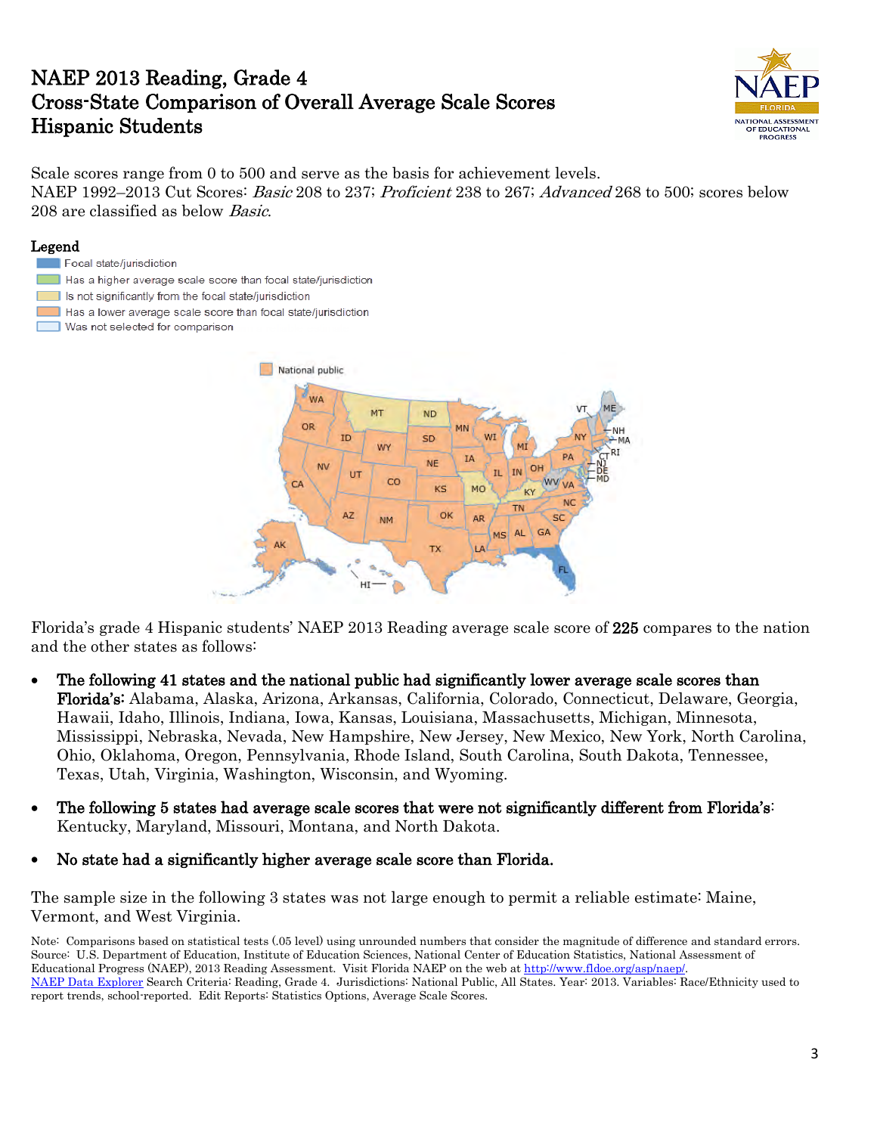## NAEP 2013 Reading, Grade 4 Cross-State Comparison of Overall Average Scale Scores Hispanic Students



Scale scores range from 0 to 500 and serve as the basis for achievement levels. NAEP 1992–2013 Cut Scores: *Basic* 208 to 237; *Proficient* 238 to 267; *Advanced* 268 to 500; scores below 208 are classified as below Basic.

#### Legend

- Focal state/jurisdiction
- Has a higher average scale score than focal state/jurisdiction
- Is not significantly from the focal state/jurisdiction
- Has a lower average scale score than focal state/jurisdiction
- Was not selected for comparison



Florida's grade 4 Hispanic students' NAEP 2013 Reading average scale score of 225 compares to the nation and the other states as follows:

- The following 41 states and the national public had significantly lower average scale scores than Florida's: Alabama, Alaska, Arizona, Arkansas, California, Colorado, Connecticut, Delaware, Georgia, Hawaii, Idaho, Illinois, Indiana, Iowa, Kansas, Louisiana, Massachusetts, Michigan, Minnesota, Mississippi, Nebraska, Nevada, New Hampshire, New Jersey, New Mexico, New York, North Carolina, Ohio, Oklahoma, Oregon, Pennsylvania, Rhode Island, South Carolina, South Dakota, Tennessee, Texas, Utah, Virginia, Washington, Wisconsin, and Wyoming.
- The following 5 states had average scale scores that were not significantly different from Florida's: Kentucky, Maryland, Missouri, Montana, and North Dakota.
- No state had a significantly higher average scale score than Florida.

The sample size in the following 3 states was not large enough to permit a reliable estimate: Maine, Vermont, and West Virginia.

Note: Comparisons based on statistical tests (.05 level) using unrounded numbers that consider the magnitude of difference and standard errors. Source: U.S. Department of Education, Institute of Education Sciences, National Center of Education Statistics, National Assessment of Educational Progress (NAEP), 2013 Reading Assessment. Visit Florida NAEP on the web at [http://www.fldoe.org/asp/naep/.](http://www.fldoe.org/asp/naep/)  [NAEP Data Explorer](http://nces.ed.gov/nationsreportcard/naepdata/) Search Criteria: Reading, Grade 4. Jurisdictions: National Public, All States. Year: 2013. Variables: Race/Ethnicity used to report trends, school-reported. Edit Reports: Statistics Options, Average Scale Scores.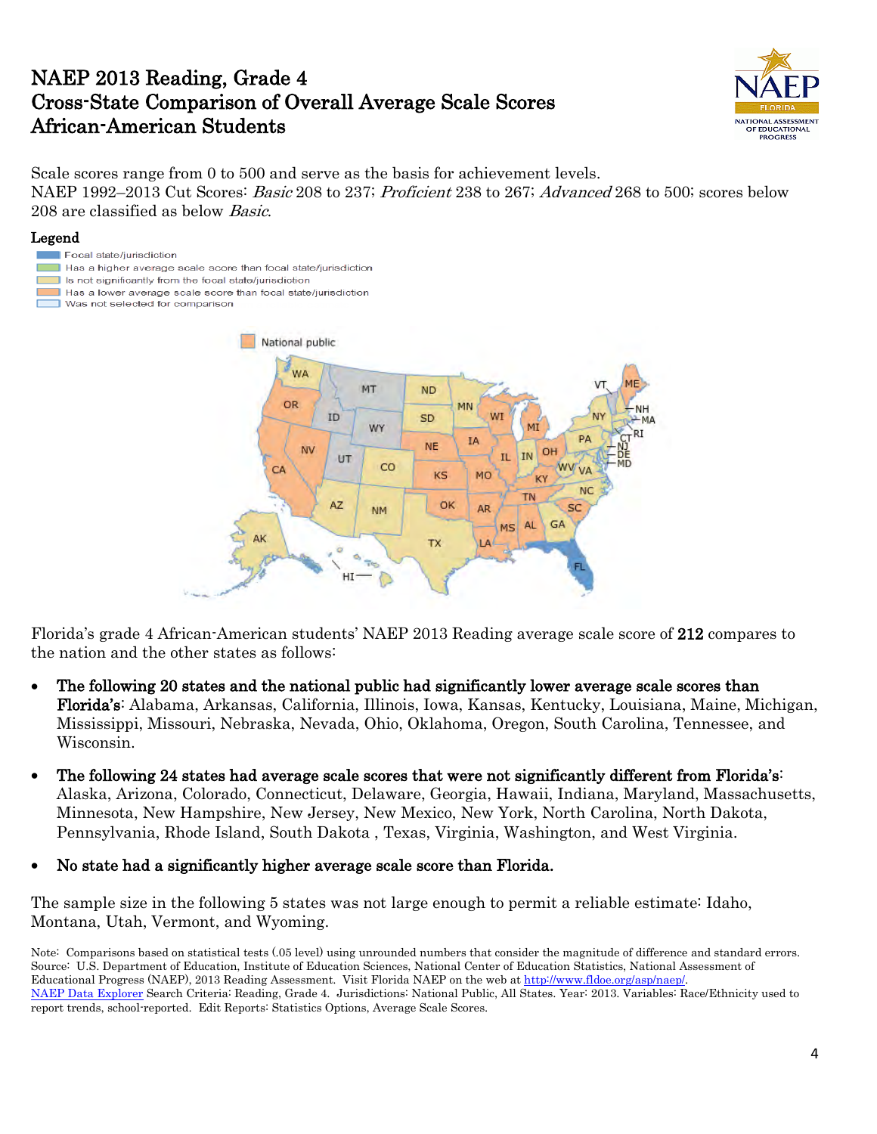### NAEP 2013 Reading, Grade 4 Cross-State Comparison of Overall Average Scale Scores African-American Students



Scale scores range from 0 to 500 and serve as the basis for achievement levels. NAEP 1992–2013 Cut Scores: *Basic* 208 to 237; *Proficient* 238 to 267; *Advanced* 268 to 500; scores below 208 are classified as below Basic.

#### Legend

- Focal state/jurisdiction
- Has a higher average scale score than focal state/jurisdiction
- Is not significantly from the focal state/jurisdiction Has a lower average scale score than focal state/jurisdiction
- Was not selected for comparison



Florida's grade 4 African-American students' NAEP 2013 Reading average scale score of 212 compares to the nation and the other states as follows:

- The following 20 states and the national public had significantly lower average scale scores than Florida's: Alabama, Arkansas, California, Illinois, Iowa, Kansas, Kentucky, Louisiana, Maine, Michigan, Mississippi, Missouri, Nebraska, Nevada, Ohio, Oklahoma, Oregon, South Carolina, Tennessee, and Wisconsin.
- The following 24 states had average scale scores that were not significantly different from Florida's: Alaska, Arizona, Colorado, Connecticut, Delaware, Georgia, Hawaii, Indiana, Maryland, Massachusetts, Minnesota, New Hampshire, New Jersey, New Mexico, New York, North Carolina, North Dakota, Pennsylvania, Rhode Island, South Dakota , Texas, Virginia, Washington, and West Virginia.
- No state had a significantly higher average scale score than Florida.

The sample size in the following 5 states was not large enough to permit a reliable estimate: Idaho, Montana, Utah, Vermont, and Wyoming.

Note: Comparisons based on statistical tests (.05 level) using unrounded numbers that consider the magnitude of difference and standard errors. Source: U.S. Department of Education, Institute of Education Sciences, National Center of Education Statistics, National Assessment of Educational Progress (NAEP), 2013 Reading Assessment. Visit Florida NAEP on the web at [http://www.fldoe.org/asp/naep/.](http://www.fldoe.org/asp/naep/)  [NAEP Data Explorer](http://nces.ed.gov/nationsreportcard/naepdata/) Search Criteria: Reading, Grade 4. Jurisdictions: National Public, All States. Year: 2013. Variables: Race/Ethnicity used to report trends, school-reported. Edit Reports: Statistics Options, Average Scale Scores.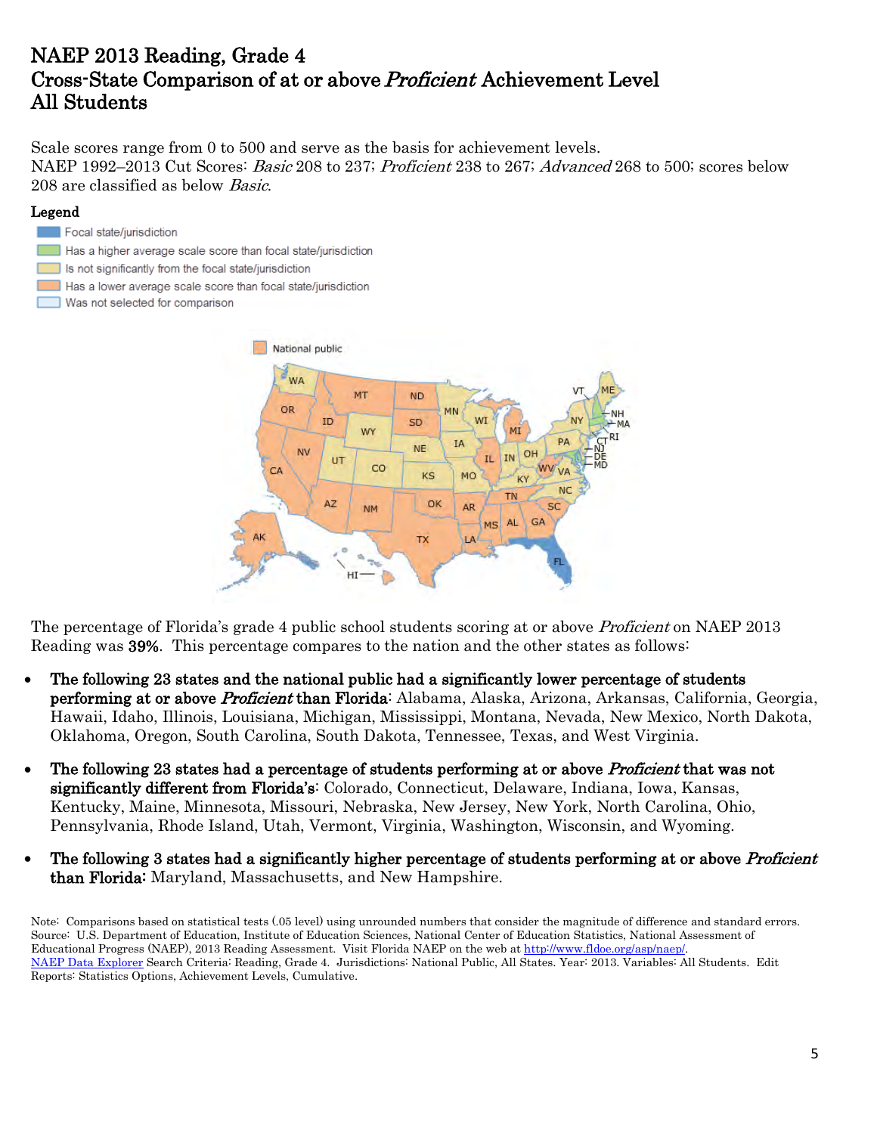## NAEP 2013 Reading, Grade 4 Cross-State Comparison of at or above Proficient Achievement Level All Students

Scale scores range from 0 to 500 and serve as the basis for achievement levels. NAEP 1992–2013 Cut Scores: *Basic* 208 to 237; *Proficient* 238 to 267; *Advanced* 268 to 500; scores below 208 are classified as below Basic.

#### Legend

- Focal state/jurisdiction
- Has a higher average scale score than focal state/jurisdiction
- Is not significantly from the focal state/jurisdiction
- Has a lower average scale score than focal state/jurisdiction
- Was not selected for comparison



The percentage of Florida's grade 4 public school students scoring at or above *Proficient* on NAEP 2013 Reading was 39%. This percentage compares to the nation and the other states as follows:

- The following 23 states and the national public had a significantly lower percentage of students performing at or above Proficient than Florida: Alabama, Alaska, Arizona, Arkansas, California, Georgia, Hawaii, Idaho, Illinois, Louisiana, Michigan, Mississippi, Montana, Nevada, New Mexico, North Dakota, Oklahoma, Oregon, South Carolina, South Dakota, Tennessee, Texas, and West Virginia.
- The following 23 states had a percentage of students performing at or above *Proficient* that was not significantly different from Florida's: Colorado, Connecticut, Delaware, Indiana, Iowa, Kansas, Kentucky, Maine, Minnesota, Missouri, Nebraska, New Jersey, New York, North Carolina, Ohio, Pennsylvania, Rhode Island, Utah, Vermont, Virginia, Washington, Wisconsin, and Wyoming.
- The following 3 states had a significantly higher percentage of students performing at or above *Proficient* than Florida: Maryland, Massachusetts, and New Hampshire.

Note: Comparisons based on statistical tests (.05 level) using unrounded numbers that consider the magnitude of difference and standard errors. Source: U.S. Department of Education, Institute of Education Sciences, National Center of Education Statistics, National Assessment of Educational Progress (NAEP), 2013 Reading Assessment. Visit Florida NAEP on the web at [http://www.fldoe.org/asp/naep/.](http://www.fldoe.org/asp/naep/)  [NAEP Data Explorer](http://nces.ed.gov/nationsreportcard/naepdata/) Search Criteria: Reading, Grade 4. Jurisdictions: National Public, All States. Year: 2013. Variables: All Students. Edit Reports: Statistics Options, Achievement Levels, Cumulative.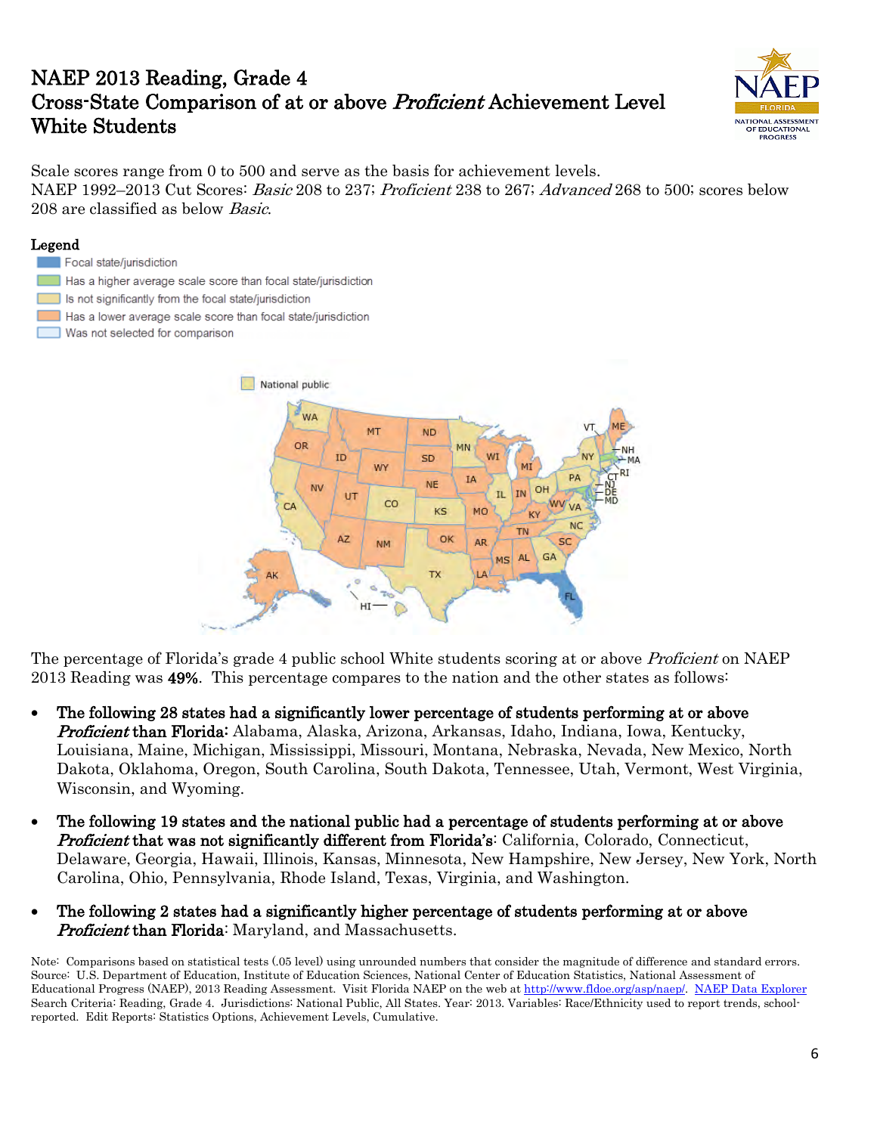# NAEP 2013 Reading, Grade 4 Cross-State Comparison of at or above Proficient Achievement Level White Students



Scale scores range from 0 to 500 and serve as the basis for achievement levels. NAEP 1992–2013 Cut Scores: *Basic* 208 to 237; *Proficient* 238 to 267; *Advanced* 268 to 500; scores below 208 are classified as below Basic.

### Legend Focal state/jurisdiction Has a higher average scale score than focal state/jurisdiction Is not significantly from the focal state/jurisdiction Has a lower average scale score than focal state/jurisdiction Was not selected for comparison



The percentage of Florida's grade 4 public school White students scoring at or above *Proficient* on NAEP 2013 Reading was 49%. This percentage compares to the nation and the other states as follows:

- The following 28 states had a significantly lower percentage of students performing at or above Proficient than Florida: Alabama, Alaska, Arizona, Arkansas, Idaho, Indiana, Iowa, Kentucky, Louisiana, Maine, Michigan, Mississippi, Missouri, Montana, Nebraska, Nevada, New Mexico, North Dakota, Oklahoma, Oregon, South Carolina, South Dakota, Tennessee, Utah, Vermont, West Virginia, Wisconsin, and Wyoming.
- The following 19 states and the national public had a percentage of students performing at or above **Proficient that was not significantly different from Florida's:** California, Colorado, Connecticut, Delaware, Georgia, Hawaii, Illinois, Kansas, Minnesota, New Hampshire, New Jersey, New York, North Carolina, Ohio, Pennsylvania, Rhode Island, Texas, Virginia, and Washington.
- The following 2 states had a significantly higher percentage of students performing at or above **Proficient than Florida:** Maryland, and Massachusetts.

Note: Comparisons based on statistical tests (.05 level) using unrounded numbers that consider the magnitude of difference and standard errors. Source: U.S. Department of Education, Institute of Education Sciences, National Center of Education Statistics, National Assessment of Educational Progress (NAEP), 2013 Reading Assessment. Visit Florida NAEP on the web at [http://www.fldoe.org/asp/naep/.](http://www.fldoe.org/asp/naep/) [NAEP Data Explorer](http://nces.ed.gov/nationsreportcard/naepdata/) Search Criteria: Reading, Grade 4. Jurisdictions: National Public, All States. Year: 2013. Variables: Race/Ethnicity used to report trends, schoolreported. Edit Reports: Statistics Options, Achievement Levels, Cumulative.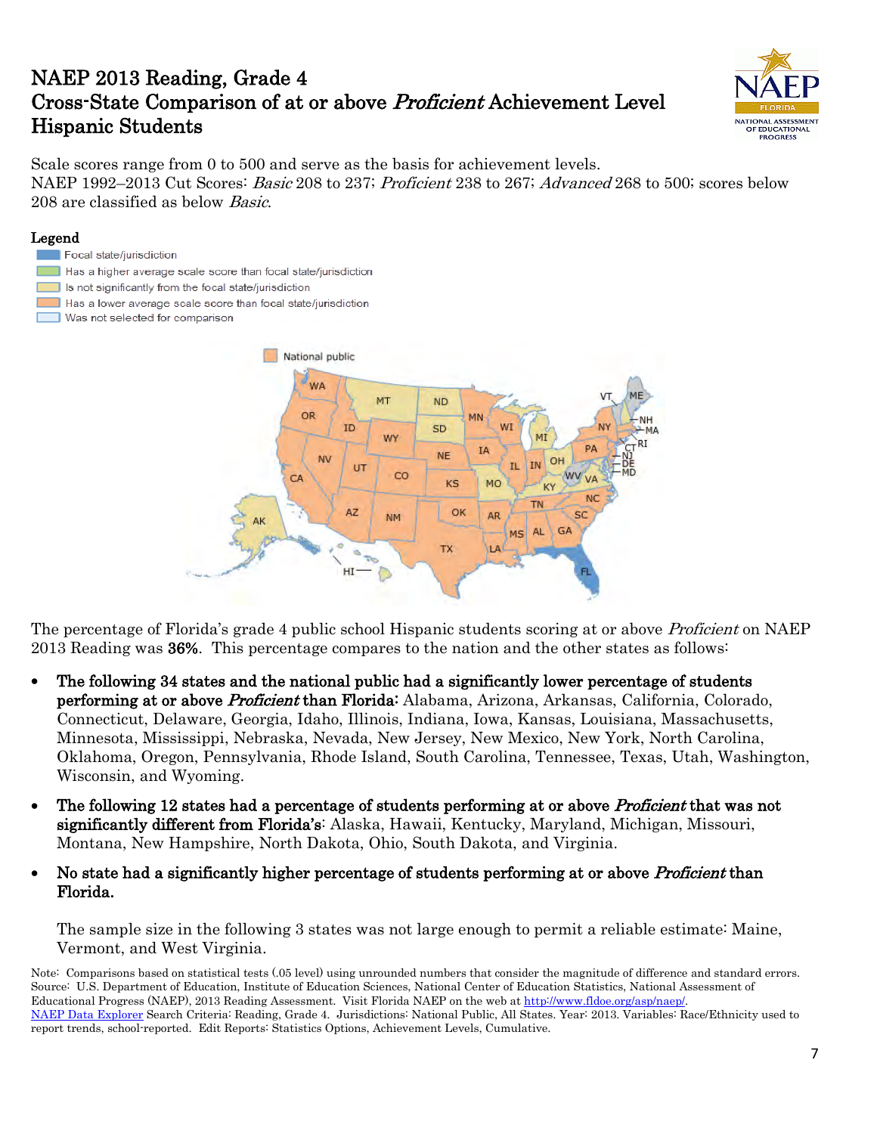# NAEP 2013 Reading, Grade 4 Cross-State Comparison of at or above Proficient Achievement Level Hispanic Students



Scale scores range from 0 to 500 and serve as the basis for achievement levels. NAEP 1992–2013 Cut Scores: *Basic* 208 to 237; *Proficient* 238 to 267; *Advanced* 268 to 500; scores below 208 are classified as below Basic.

### Legend

#### Focal state/jurisdiction

- Has a higher average scale score than focal state/jurisdiction
- **Contract** Is not significantly from the focal state/jurisdiction
- Has a lower average scale score than focal state/jurisdiction
- Was not selected for comparison



The percentage of Florida's grade 4 public school Hispanic students scoring at or above Proficient on NAEP 2013 Reading was 36%. This percentage compares to the nation and the other states as follows:

- The following 34 states and the national public had a significantly lower percentage of students performing at or above *Proficient* than Florida: Alabama, Arizona, Arkansas, California, Colorado, Connecticut, Delaware, Georgia, Idaho, Illinois, Indiana, Iowa, Kansas, Louisiana, Massachusetts, Minnesota, Mississippi, Nebraska, Nevada, New Jersey, New Mexico, New York, North Carolina, Oklahoma, Oregon, Pennsylvania, Rhode Island, South Carolina, Tennessee, Texas, Utah, Washington, Wisconsin, and Wyoming.
- The following 12 states had a percentage of students performing at or above *Proficient* that was not significantly different from Florida's: Alaska, Hawaii, Kentucky, Maryland, Michigan, Missouri, Montana, New Hampshire, North Dakota, Ohio, South Dakota, and Virginia.
- No state had a significantly higher percentage of students performing at or above *Proficient* than Florida.

The sample size in the following 3 states was not large enough to permit a reliable estimate: Maine, Vermont, and West Virginia.

Note: Comparisons based on statistical tests (.05 level) using unrounded numbers that consider the magnitude of difference and standard errors. Source: U.S. Department of Education, Institute of Education Sciences, National Center of Education Statistics, National Assessment of Educational Progress (NAEP), 2013 Reading Assessment. Visit Florida NAEP on the web at http://www.fldoe.org/asp/naep/. [NAEP Data Explorer](http://nces.ed.gov/nationsreportcard/naepdata/) Search Criteria: Reading, Grade 4. Jurisdictions: National Public, All States. Year: 2013. Variables: Race/Ethnicity used to report trends, school-reported. Edit Reports: Statistics Options, Achievement Levels, Cumulative.